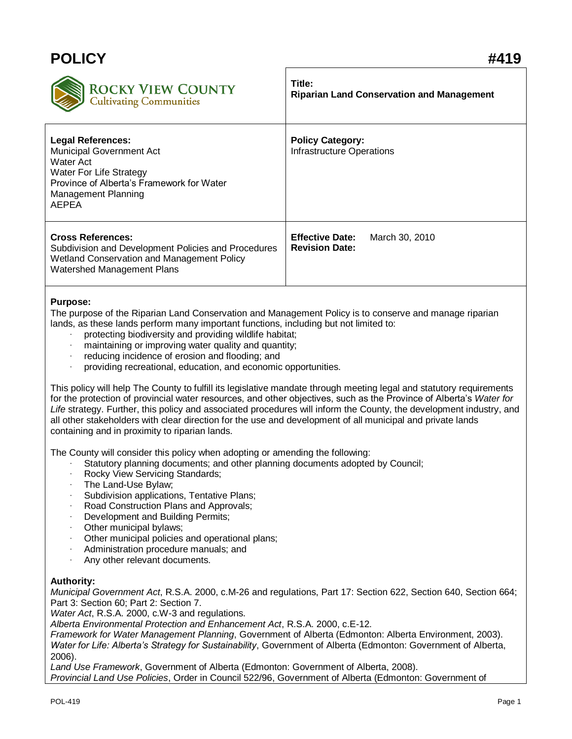# **POLICY #419**



# **Title: Riparian Land Conservation and Management**

| <b>Legal References:</b><br>Municipal Government Act<br>Water Act<br>Water For Life Strategy<br>Province of Alberta's Framework for Water<br>Management Planning<br>AEPEA | <b>Policy Category:</b><br><b>Infrastructure Operations</b>       |
|---------------------------------------------------------------------------------------------------------------------------------------------------------------------------|-------------------------------------------------------------------|
| <b>Cross References:</b><br>Subdivision and Development Policies and Procedures<br>Wetland Conservation and Management Policy<br>Watershed Management Plans               | <b>Effective Date:</b><br>March 30, 2010<br><b>Revision Date:</b> |

#### **Purpose:**

The purpose of the Riparian Land Conservation and Management Policy is to conserve and manage riparian lands, as these lands perform many important functions, including but not limited to:

- protecting biodiversity and providing wildlife habitat;
- maintaining or improving water quality and quantity;
- reducing incidence of erosion and flooding; and
- · providing recreational, education, and economic opportunities.

This policy will help The County to fulfill its legislative mandate through meeting legal and statutory requirements for the protection of provincial water resources, and other objectives, such as the Province of Alberta's *Water for Life* strategy. Further, this policy and associated procedures will inform the County, the development industry, and all other stakeholders with clear direction for the use and development of all municipal and private lands containing and in proximity to riparian lands.

The County will consider this policy when adopting or amending the following:

- Statutory planning documents; and other planning documents adopted by Council;
- Rocky View Servicing Standards;
- The Land-Use Bylaw;
- Subdivision applications, Tentative Plans;
- Road Construction Plans and Approvals;
- Development and Building Permits;
- Other municipal bylaws;
- Other municipal policies and operational plans;
- · Administration procedure manuals; and
- Any other relevant documents.

### **Authority:**

*Municipal Government Act*, R.S.A. 2000, c.M-26 and regulations, Part 17: Section 622, Section 640, Section 664; Part 3: Section 60; Part 2: Section 7.

*Water Act*, R.S.A. 2000, c.W-3 and regulations.

*Alberta Environmental Protection and Enhancement Act*, R.S.A. 2000, c.E-12.

*Framework for Water Management Planning*, Government of Alberta (Edmonton: Alberta Environment, 2003). *Water for Life: Alberta's Strategy for Sustainability*, Government of Alberta (Edmonton: Government of Alberta, 2006).

*Land Use Framework*, Government of Alberta (Edmonton: Government of Alberta, 2008). *Provincial Land Use Policies*, Order in Council 522/96, Government of Alberta (Edmonton: Government of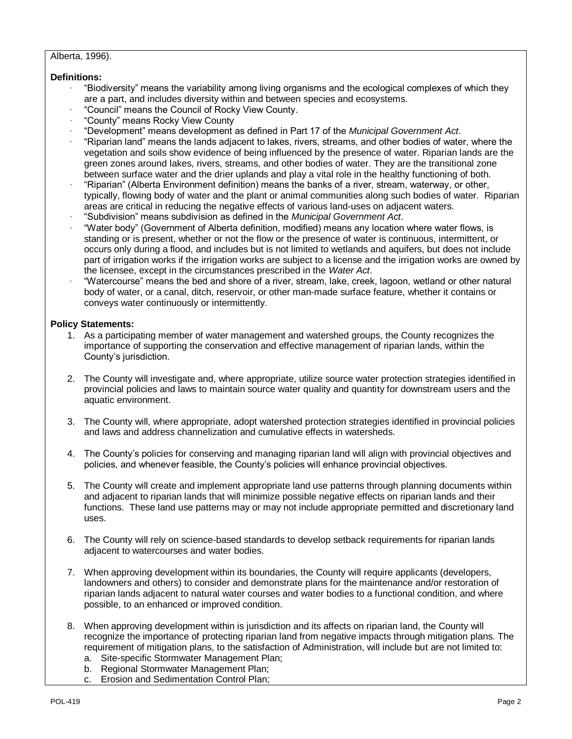### Alberta, 1996).

## **Definitions:**

- · "Biodiversity" means the variability among living organisms and the ecological complexes of which they are a part, and includes diversity within and between species and ecosystems.
- · "Council" means the Council of Rocky View County.
- · "County" means Rocky View County
- · "Development" means development as defined in Part 17 of the *Municipal Government Act*.
- · "Riparian land" means the lands adjacent to lakes, rivers, streams, and other bodies of water, where the vegetation and soils show evidence of being influenced by the presence of water. Riparian lands are the green zones around lakes, rivers, streams, and other bodies of water. They are the transitional zone between surface water and the drier uplands and play a vital role in the healthy functioning of both.
- · "Riparian" (Alberta Environment definition) means the banks of a river, stream, waterway, or other, typically, flowing body of water and the plant or animal communities along such bodies of water. Riparian areas are critical in reducing the negative effects of various land-uses on adjacent waters.
- · "Subdivision" means subdivision as defined in the *Municipal Government Act*.
- · "Water body" (Government of Alberta definition, modified) means any location where water flows, is standing or is present, whether or not the flow or the presence of water is continuous, intermittent, or occurs only during a flood, and includes but is not limited to wetlands and aquifers, but does not include part of irrigation works if the irrigation works are subject to a license and the irrigation works are owned by the licensee, except in the circumstances prescribed in the *Water Act*.
- · "Watercourse" means the bed and shore of a river, stream, lake, creek, lagoon, wetland or other natural body of water, or a canal, ditch, reservoir, or other man-made surface feature, whether it contains or conveys water continuously or intermittently.

#### **Policy Statements:**

- 1. As a participating member of water management and watershed groups, the County recognizes the importance of supporting the conservation and effective management of riparian lands, within the County's jurisdiction.
- 2. The County will investigate and, where appropriate, utilize source water protection strategies identified in provincial policies and laws to maintain source water quality and quantity for downstream users and the aquatic environment.
- 3. The County will, where appropriate, adopt watershed protection strategies identified in provincial policies and laws and address channelization and cumulative effects in watersheds.
- 4. The County's policies for conserving and managing riparian land will align with provincial objectives and policies, and whenever feasible, the County's policies will enhance provincial objectives.
- 5. The County will create and implement appropriate land use patterns through planning documents within and adjacent to riparian lands that will minimize possible negative effects on riparian lands and their functions. These land use patterns may or may not include appropriate permitted and discretionary land uses.
- 6. The County will rely on science-based standards to develop setback requirements for riparian lands adjacent to watercourses and water bodies.
- 7. When approving development within its boundaries, the County will require applicants (developers, landowners and others) to consider and demonstrate plans for the maintenance and/or restoration of riparian lands adjacent to natural water courses and water bodies to a functional condition, and where possible, to an enhanced or improved condition.
- 8. When approving development within is jurisdiction and its affects on riparian land, the County will recognize the importance of protecting riparian land from negative impacts through mitigation plans. The requirement of mitigation plans, to the satisfaction of Administration, will include but are not limited to:
	- a. Site-specific Stormwater Management Plan;
	- b. Regional Stormwater Management Plan;
	- c. Erosion and Sedimentation Control Plan;